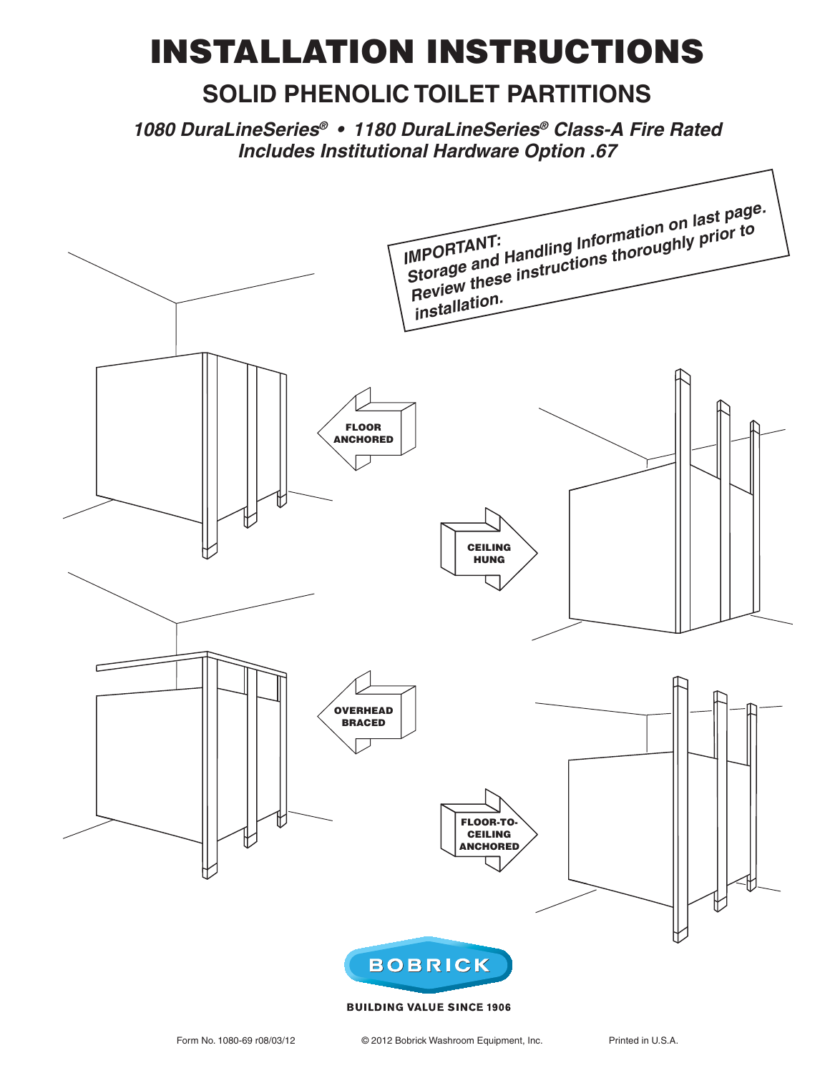# **INSTALLATION INSTRUCTIONS**

# **SOLID PHENOLIC TOILET PARTITIONS**

*1080 DuraLineSeries® s \$URA,INE3ERIES® Class-A Fire Rated Includes Institutional Hardware Option .67*



#### **BUILDING VALUE SINCE 1906**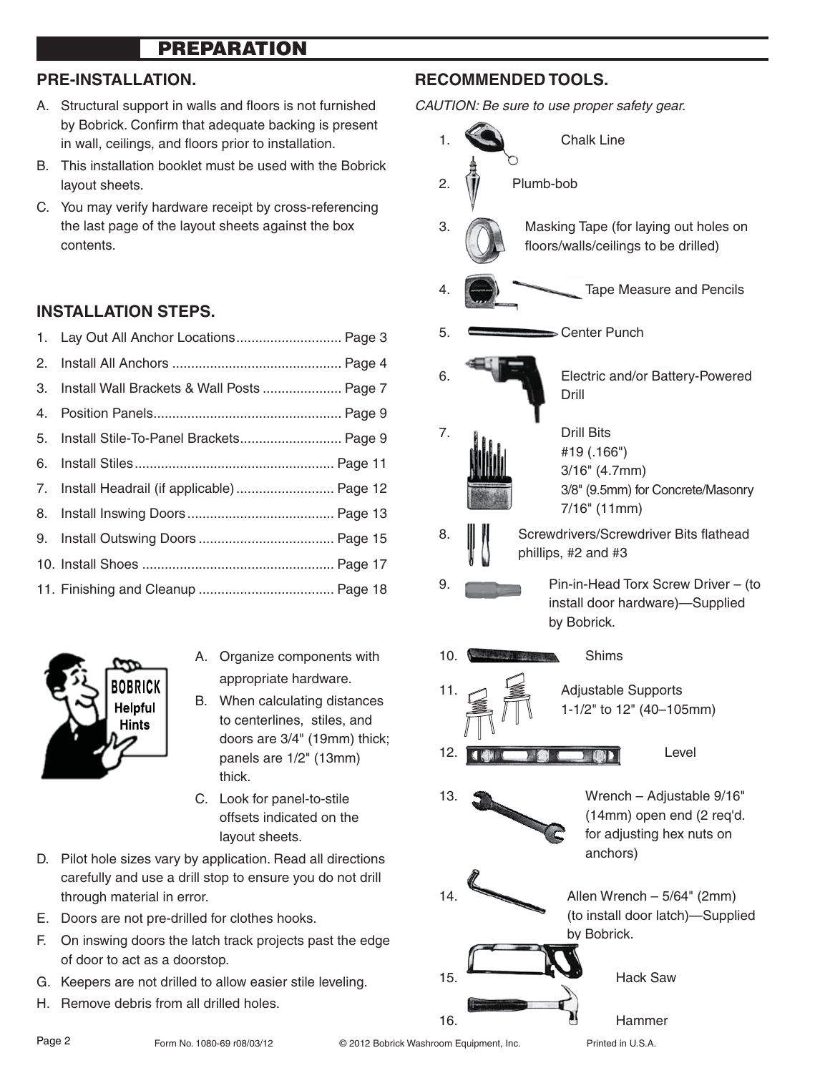# **PREPARATION**

#### **PRE-INSTALLATION.**

- A. Structural support in walls and floors is not furnished by Bobrick. Confirm that adequate backing is present in wall, ceilings, and floors prior to installation.
- B. This installation booklet must be used with the Bobrick layout sheets.
- C. You may verify hardware receipt by cross-referencing the last page of the layout sheets against the box contents.

## **INSTALLATION STEPS.**

| 1. Lay Out All Anchor Locations Page 3        |  |
|-----------------------------------------------|--|
|                                               |  |
| 3. Install Wall Brackets & Wall Posts  Page 7 |  |
|                                               |  |
| 5. Install Stile-To-Panel Brackets Page 9     |  |
|                                               |  |
| 7. Install Headrail (if applicable)  Page 12  |  |
|                                               |  |
|                                               |  |
|                                               |  |
|                                               |  |



- A. Organize components with appropriate hardware.
- B. When calculating distances to centerlines, stiles, and doors are 3/4" (19mm) thick; panels are 1/2" (13mm) thick.
- C. Look for panel-to-stile offsets indicated on the layout sheets.
- D. Pilot hole sizes vary by application. Read all directions carefully and use a drill stop to ensure you do not drill through material in error.
- E. Doors are not pre-drilled for clothes hooks.
- F. On inswing doors the latch track projects past the edge of door to act as a doorstop.
- G. Keepers are not drilled to allow easier stile leveling.
- H. Remove debris from all drilled holes.

## **RECOMMENDED TOOLS.**

CAUTION: Be sure to use proper safety gear.

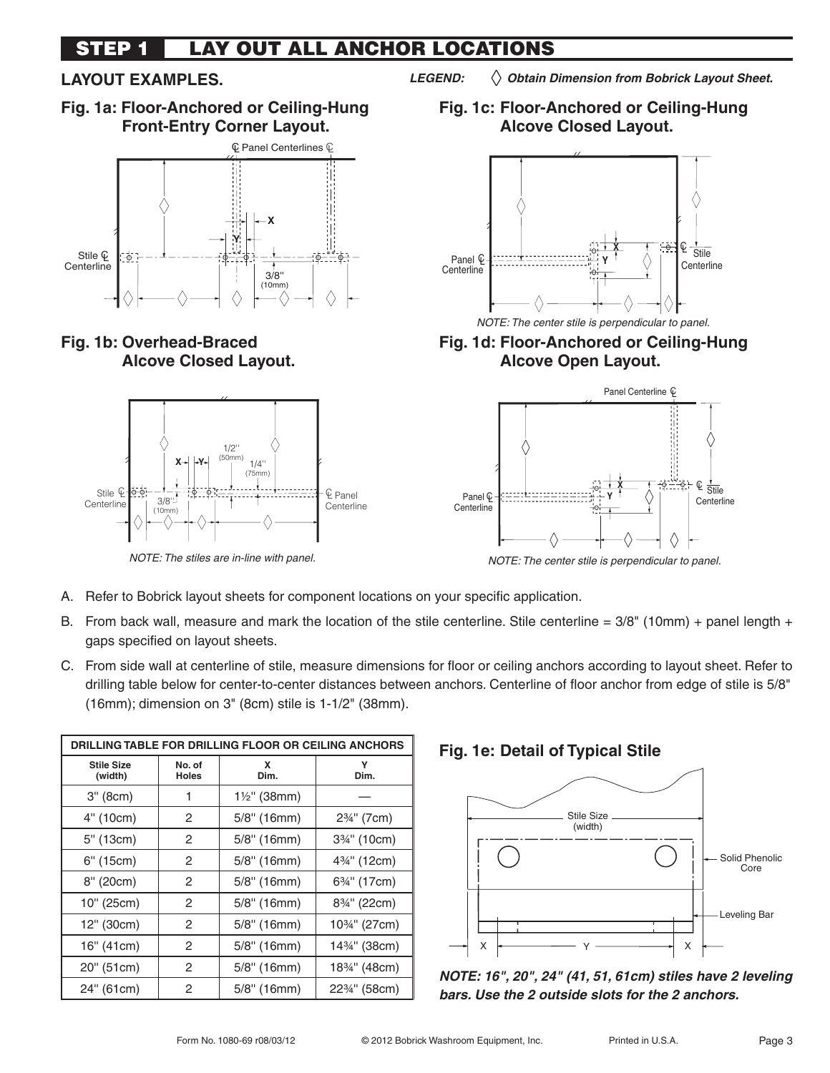#### **LAY OUT ALL ANCHOR LOCATIONS STEP 1**

# **LAYOUT EXAMPLES.**

**Fig. 1a: Floor-Anchored or Ceiling-Hung Front-Entry Corner Layout.**



**Fig. 1b: Overhead-Braced Alcove Closed Layout.**



*LEGEND: Obtain Dimension from Bobrick Layout Sheet.*

**Fig. 1c: Floor-Anchored or Ceiling-Hung Alcove Closed Layout.**



NOTE: The center stile is perpendicular to panel.

**Fig. 1d: Floor-Anchored or Ceiling-Hung Alcove Open Layout.**



NOTE: The center stile is perpendicular to panel.

- A. Refer to Bobrick layout sheets for component locations on your specific application.
- B. From back wall, measure and mark the location of the stile centerline. Stile centerline =  $3/8$ " (10mm) + panel length + gaps specified on layout sheets.
- C. From side wall at centerline of stile, measure dimensions for floor or ceiling anchors according to layout sheet. Refer to drilling table below for center-to-center distances between anchors. Centerline of floor anchor from edge of stile is 5/8" (16mm); dimension on 3" (8cm) stile is 1-1/2" (38mm).

| DRILLING TABLE FOR DRILLING FLOOR OR CEILING ANCHORS |                        |                         |                                         |  |  |  |
|------------------------------------------------------|------------------------|-------------------------|-----------------------------------------|--|--|--|
| <b>Stile Size</b><br>(width)                         | No. of<br><b>Holes</b> | x<br>Dim.               | Υ<br>Dim.                               |  |  |  |
| 3" (8cm)                                             | 1                      | $1\frac{1}{2}$ " (38mm) |                                         |  |  |  |
| 4" (10cm)                                            | 2                      | $5/8$ " (16mm)          | 2% <sup>"</sup> (7cm)                   |  |  |  |
| 5" (13cm)                                            | 2                      | $5/8$ " (16mm)          | 3 <sup>3</sup> / <sub>4</sub> " (10cm)  |  |  |  |
| 6" (15cm)                                            | 2                      | $5/8$ " (16mm)          | 4 <sup>3</sup> / <sub>4</sub> " (12cm)  |  |  |  |
| 8" (20cm)                                            | 2                      | $5/8$ " (16mm)          | 6 <sup>3</sup> / <sub>4</sub> " (17cm)  |  |  |  |
| 10" (25cm)                                           | 2                      | $5/8$ " (16mm)          | 8 <sup>3/4"</sup> (22cm)                |  |  |  |
| 12" (30cm)                                           | 2                      | $5/8$ " (16mm)          | 10 <sup>3/4"</sup> (27cm)               |  |  |  |
| 16" (41cm)                                           | 2                      | $5/8$ " (16mm)          | 14 <sup>3</sup> / <sub>4</sub> " (38cm) |  |  |  |
| 20" (51cm)                                           | 2                      | $5/8$ " (16mm)          | 18 <sup>3</sup> / <sub>4</sub> " (48cm) |  |  |  |
| 24" (61cm)                                           | 2                      | $5/8$ " (16mm)          | 22 <sup>3</sup> / <sub>4</sub> " (58cm) |  |  |  |

## **Fig. 1e: Detail of Typical Stile**



*NOTE: 16", 20", 24" (41, 51, 61cm) stiles have 2 leveling bars. Use the 2 outside slots for the 2 anchors.*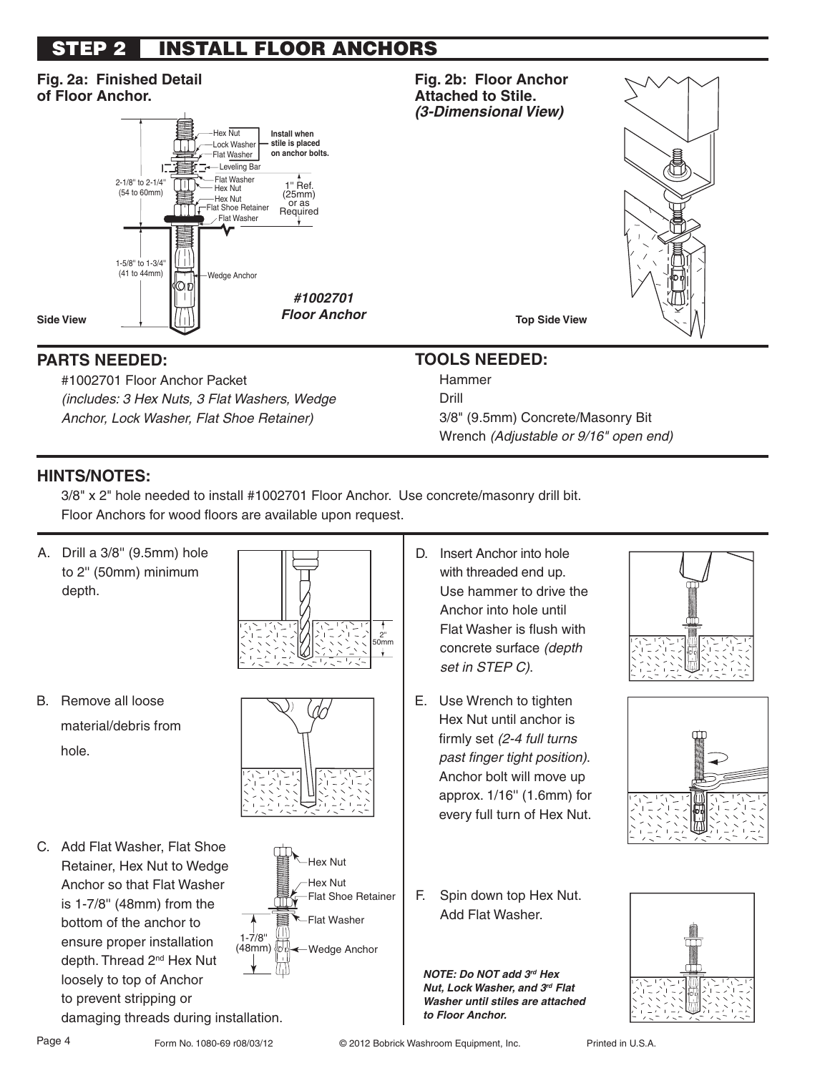# **STEP 2 INSTALL FLOOR ANCHORS**

#### **Fig. 2a: Finished Detail Fig. 2b: Floor Anchor of Floor Anchor. Attached to Stile.**  *(3-Dimensional View)* Hex Nut **Install when stile is placed** Lock Washer **on anchor bolts.** Flat Washer Leveling Bar Flat Washer 2-1/8'' to 2-1/4'' 1'' Ref. ſΜ Hex Nut (54 to 60mm) (25mm) —Hex Nut<br>Flat Shoe Retainer TT Required Flat Washer 1-5/8'' to 1-3/4''  $\perp$ (41 to 44mm) Wedge Anchor *#1002701 Floor Anchor* **Side View** ↓  $\left|\binom{n}{1}\right|$  *FIOOT ANCNOT* **TOP Side View**

# **PARTS NEEDED:**

 #1002701 Floor Anchor Packet (includes: 3 Hex Nuts, 3 Flat Washers, Wedge Anchor, Lock Washer, Flat Shoe Retainer)

# **TOOLS NEEDED:**

 Hammer Drill 3/8" (9.5mm) Concrete/Masonry Bit Wrench (Adjustable or 9/16" open end)

# **HINTS/NOTES:**

 3/8" x 2" hole needed to install #1002701 Floor Anchor. Use concrete/masonry drill bit. Floor Anchors for wood floors are available upon request.

- A. Drill a 3/8'' (9.5mm) hole to 2'' (50mm) minimum depth.
- B. Remove all loose material/debris from hole.
- C. Add Flat Washer, Flat Shoe Retainer, Hex Nut to Wedge Anchor so that Flat Washer is 1-7/8'' (48mm) from the bottom of the anchor to ensure proper installation depth. Thread 2<sup>nd</sup> Hex Nut loosely to top of Anchor to prevent stripping or damaging threads during installation.







- D. Insert Anchor into hole with threaded end up. Use hammer to drive the Anchor into hole until Flat Washer is flush with concrete surface (depth set in STEP C).
- E. Use Wrench to tighten Hex Nut until anchor is firmly set (2-4 full turns past finger tight position). Anchor bolt will move up approx. 1/16'' (1.6mm) for every full turn of Hex Nut.
- F. Spin down top Hex Nut. Add Flat Washer.

*NOTE: Do NOT add 3rd Hex Nut, Lock Washer, and 3rd Flat Washer until stiles are attached to Floor Anchor.*







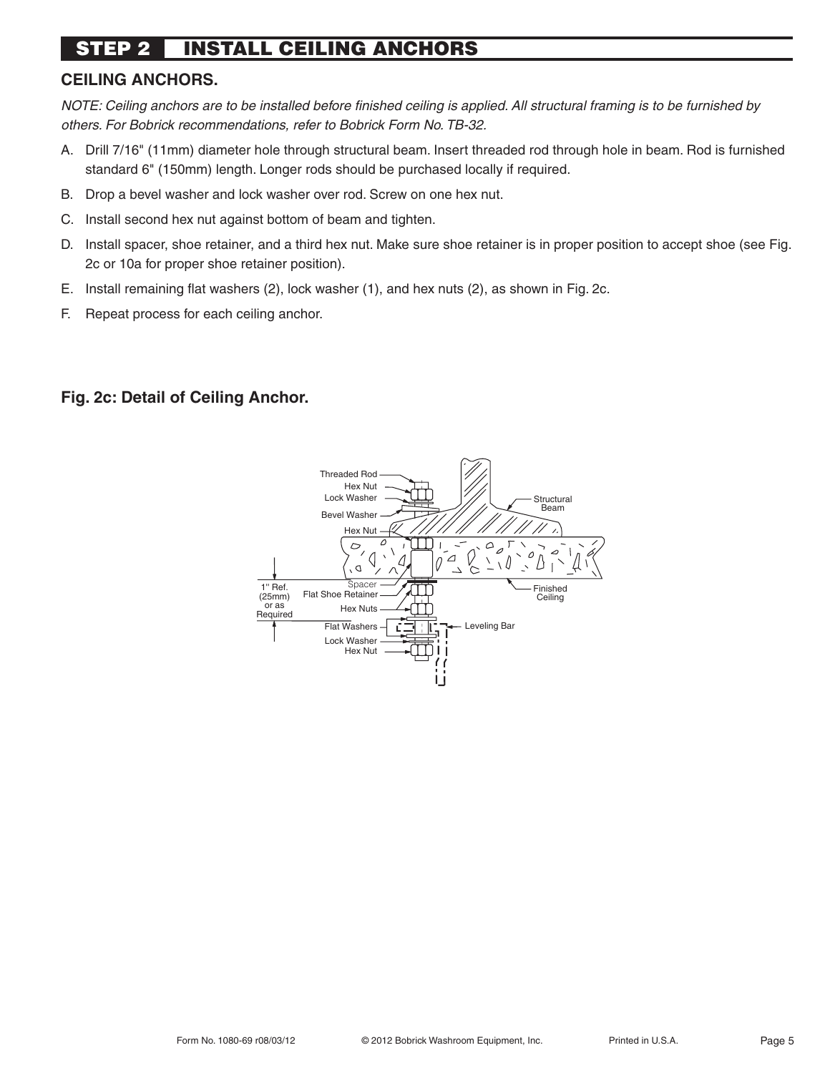#### **INSTALL CEILING ANCHORS STEP 2**

## **CEILING ANCHORS.**

NOTE: Ceiling anchors are to be installed before finished ceiling is applied. All structural framing is to be furnished by others. For Bobrick recommendations, refer to Bobrick Form No. TB-32.

- A. Drill 7/16" (11mm) diameter hole through structural beam. Insert threaded rod through hole in beam. Rod is furnished standard 6" (150mm) length. Longer rods should be purchased locally if required.
- B. Drop a bevel washer and lock washer over rod. Screw on one hex nut.
- C. Install second hex nut against bottom of beam and tighten.
- D. Install spacer, shoe retainer, and a third hex nut. Make sure shoe retainer is in proper position to accept shoe (see Fig. 2c or 10a for proper shoe retainer position).
- E. Install remaining flat washers (2), lock washer (1), and hex nuts (2), as shown in Fig. 2c.
- F. Repeat process for each ceiling anchor.

## **Fig. 2c: Detail of Ceiling Anchor.**

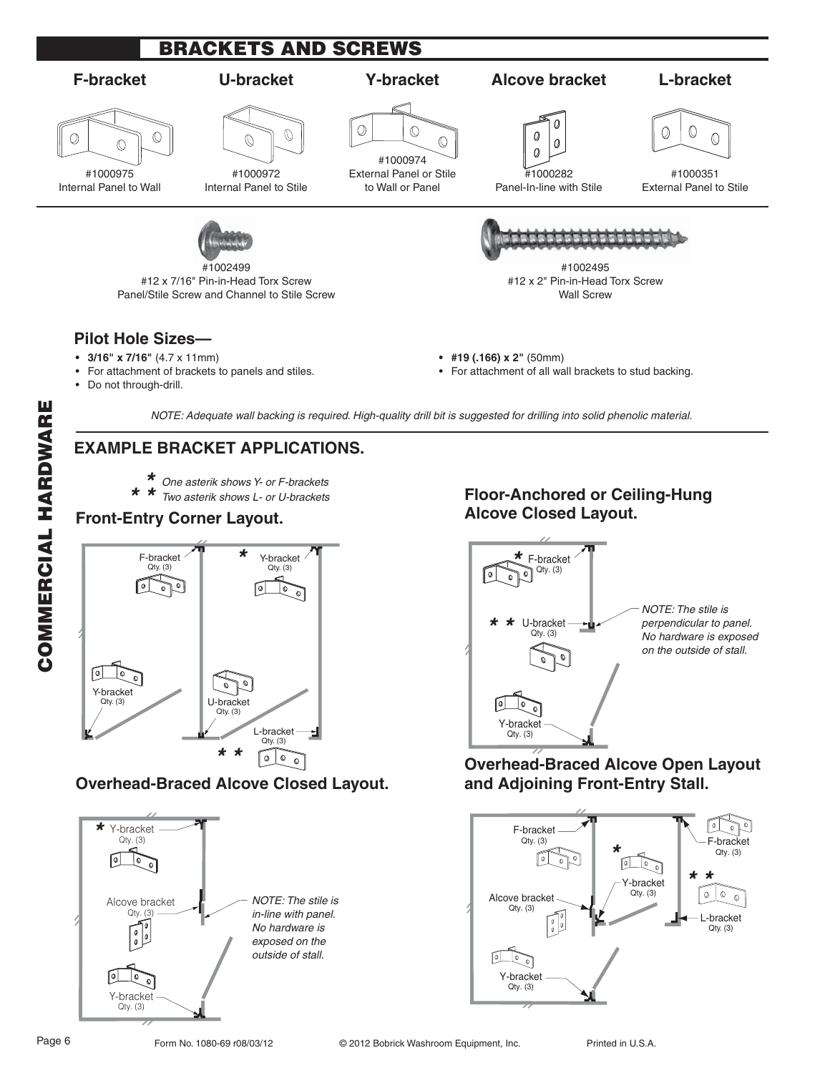

## **EXAMPLE BRACKET APPLICATIONS.**

- 
- One asterik shows Y- or F-brackets *\* \* \**  \* Two asterik shows L- or U-brackets

#### **Front-Entry Corner Layout.**



## **Overhead-Braced Alcove Closed Layout.**



# **Floor-Anchored or Ceiling-Hung Alcove Closed Layout.**



# **Overhead-Braced Alcove Open Layout**

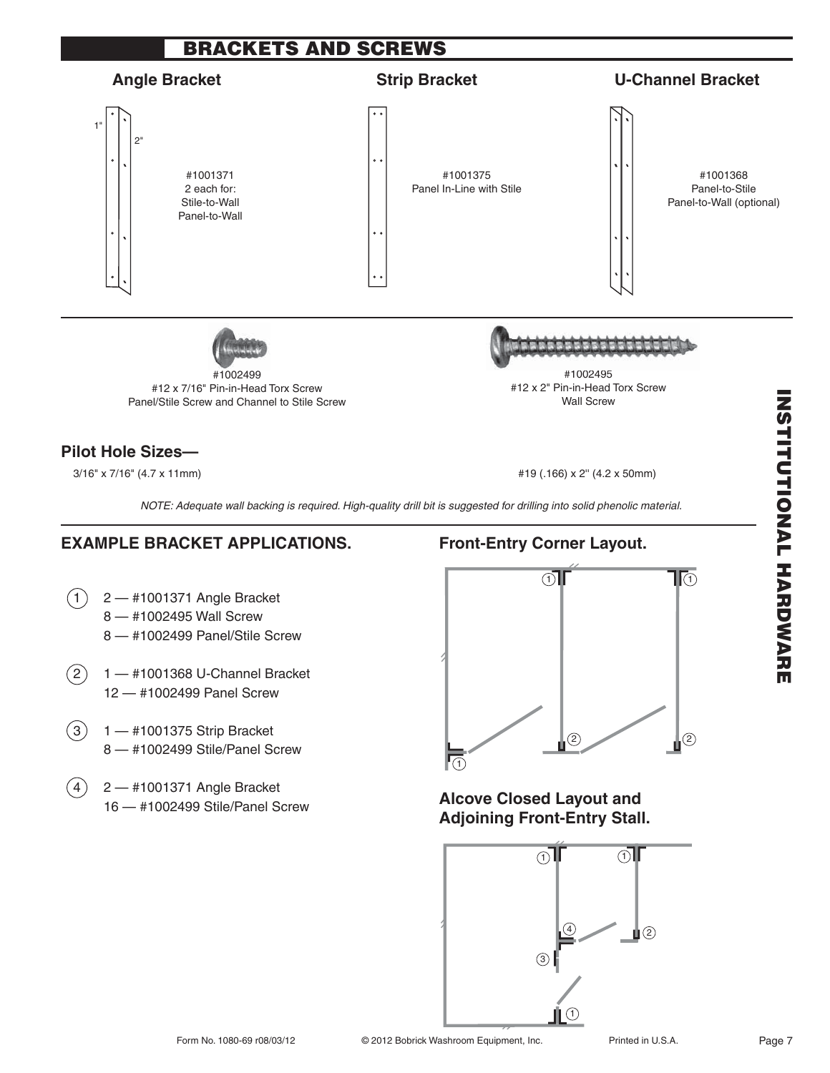

 $(3)$  1 — #1001375 Strip Bracket 8 — #1002499 Stile/Panel Screw

12 — #1002499 Panel Screw

 $(4)$  2 — #1001371 Angle Bracket 16 — #1002499 Stile/Panel Screw



## **Alcove Closed Layout and Adjoining Front-Entry Stall.**

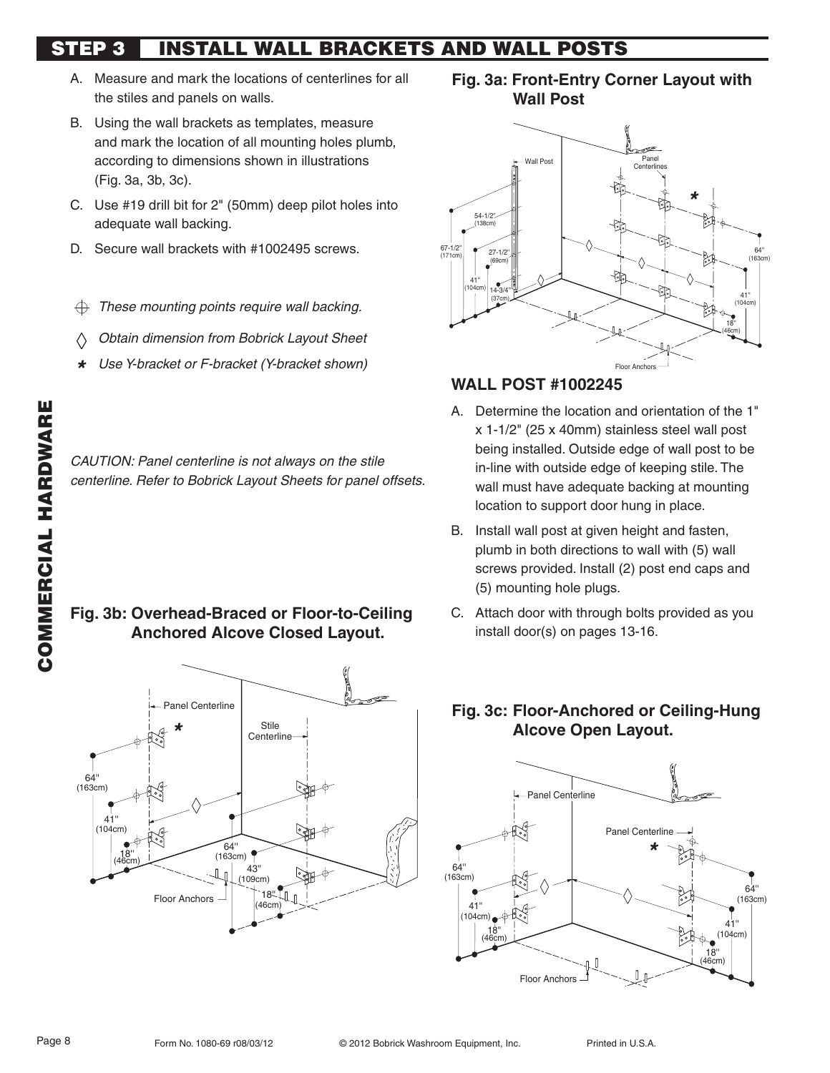# **STEP 3 INSTALL WALL BRACKETS AND WALL POSTS**

- A. Measure and mark the locations of centerlines for all the stiles and panels on walls.
- B. Using the wall brackets as templates, measure and mark the location of all mounting holes plumb, according to dimensions shown in illustrations (Fig. 3a, 3b, 3c).
- C. Use #19 drill bit for 2" (50mm) deep pilot holes into adequate wall backing.
- D. Secure wall brackets with #1002495 screws.
- These mounting points require wall backing.  $\oplus$
- Obtain dimension from Bobrick Layout Sheet  $\langle \rangle$
- Use Y-bracket or F-bracket (Y-bracket shown) *\**

CAUTION: Panel centerline is not always on the stile centerline. Refer to Bobrick Layout Sheets for panel offsets.

# **Fig. 3b: Overhead-Braced or Floor-to-Ceiling Anchored Alcove Closed Layout.**



**Fig. 3a: Front-Entry Corner Layout with Wall Post**



## **WALL POST #1002245**

- A. Determine the location and orientation of the 1" x 1-1/2" (25 x 40mm) stainless steel wall post being installed. Outside edge of wall post to be in-line with outside edge of keeping stile. The wall must have adequate backing at mounting location to support door hung in place.
- B. Install wall post at given height and fasten, plumb in both directions to wall with (5) wall screws provided. Install (2) post end caps and (5) mounting hole plugs.
- C. Attach door with through bolts provided as you install door(s) on pages 13-16.

# **Fig. 3c: Floor-Anchored or Ceiling-Hung Alcove Open Layout.**

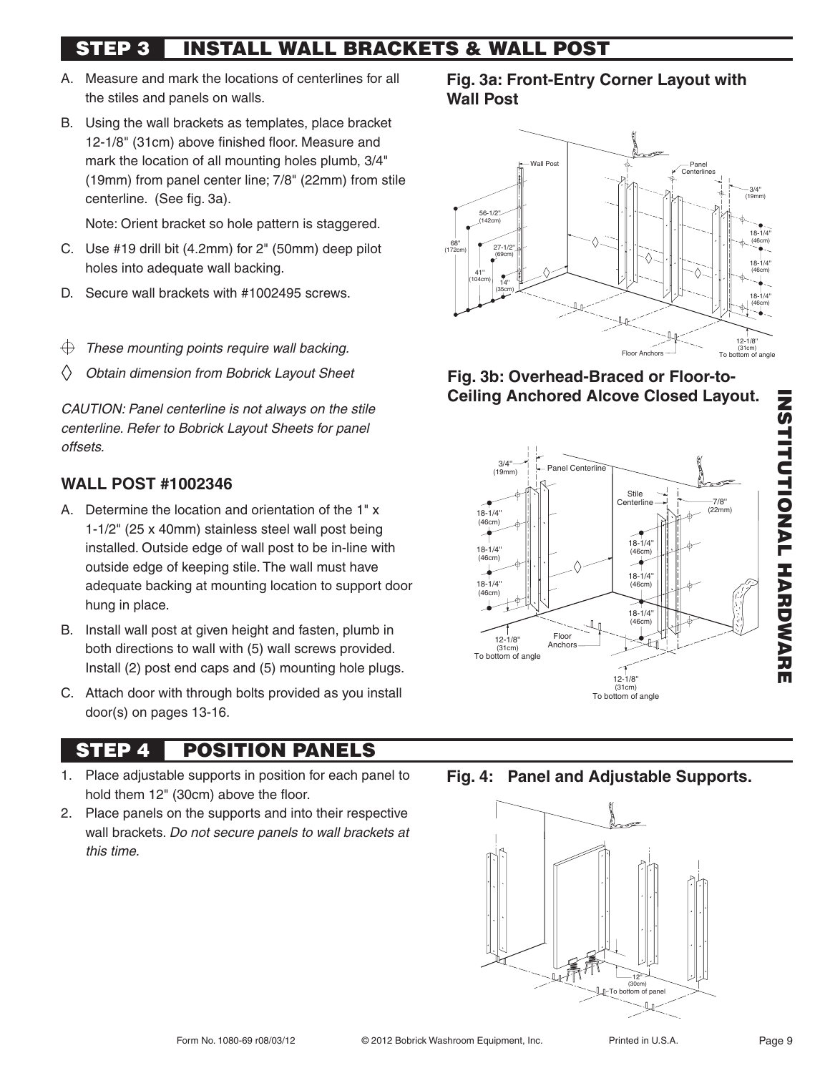# **STEP 3 INSTALL WALL BRACKETS & WALL POST**

- A. Measure and mark the locations of centerlines for all the stiles and panels on walls.
- B. Using the wall brackets as templates, place bracket 12-1/8" (31cm) above finished floor. Measure and mark the location of all mounting holes plumb, 3/4" (19mm) from panel center line; 7/8" (22mm) from stile centerline. (See fig. 3a).

Note: Orient bracket so hole pattern is staggered.

- C. Use #19 drill bit (4.2mm) for 2" (50mm) deep pilot holes into adequate wall backing.
- D. Secure wall brackets with #1002495 screws.
- These mounting points require wall backing. ⊕
- Obtain dimension from Bobrick Layout Sheet

CAUTION: Panel centerline is not always on the stile centerline. Refer to Bobrick Layout Sheets for panel offsets.

# **WALL POST #1002346**

- A. Determine the location and orientation of the 1" x 1-1/2" (25 x 40mm) stainless steel wall post being installed. Outside edge of wall post to be in-line with outside edge of keeping stile. The wall must have adequate backing at mounting location to support door hung in place.
- B. Install wall post at given height and fasten, plumb in both directions to wall with (5) wall screws provided. Install (2) post end caps and (5) mounting hole plugs.
- C. Attach door with through bolts provided as you install door(s) on pages 13-16.

# **STEP 4 POSITION PANELS**

- 1. Place adjustable supports in position for each panel to hold them 12" (30cm) above the floor.
- 2. Place panels on the supports and into their respective wall brackets. Do not secure panels to wall brackets at this time.

**Fig. 3a: Front-Entry Corner Layout with Wall Post**



## **Fig. 3b: Overhead-Braced or Floor-to-Ceiling Anchored Alcove Closed Layout.**



**Fig. 4: Panel and Adjustable Supports.** 

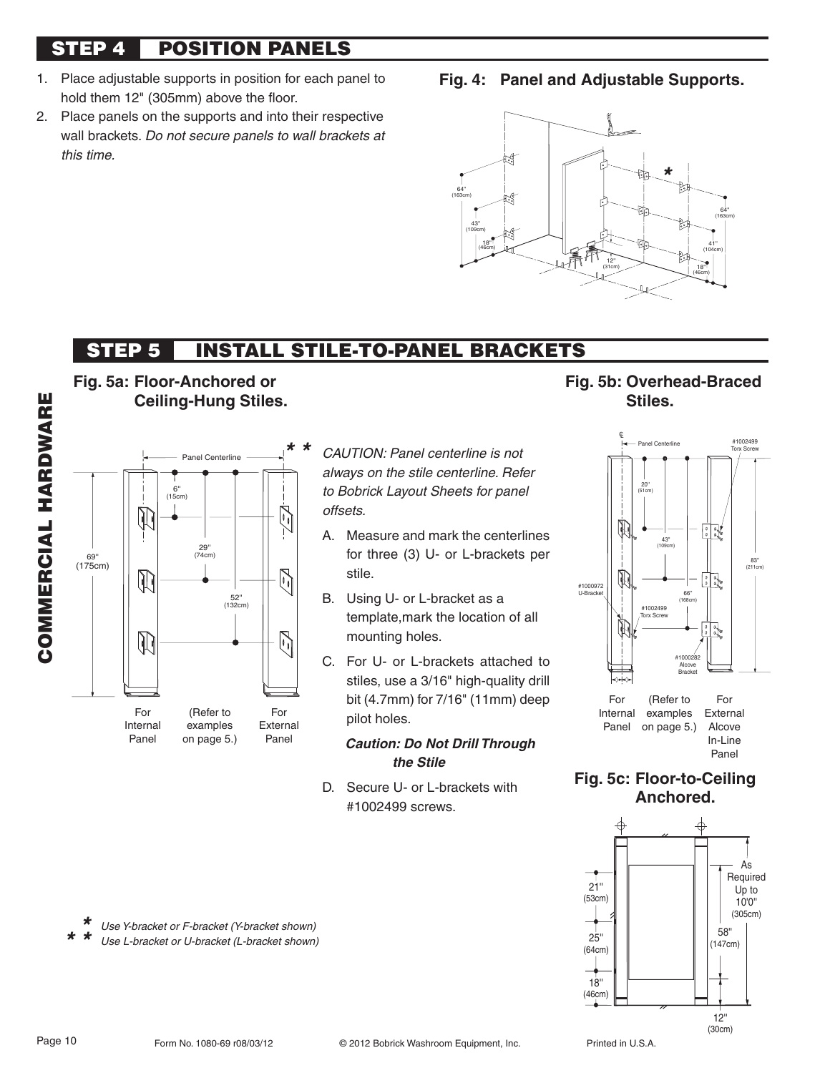# **STEP 4 POSITION PANELS**

- 1. Place adjustable supports in position for each panel to hold them 12" (305mm) above the floor.
- 2. Place panels on the supports and into their respective wall brackets. Do not secure panels to wall brackets at this time.
- **Fig. 4: Panel and Adjustable Supports.**



# **STEP 5 INSTALL STILE-TO-PANEL BRACKETS**







CAUTION: Panel centerline is not always on the stile centerline. Refer to Bobrick Layout Sheets for panel offsets.

- A. Measure and mark the centerlines for three (3) U- or L-brackets per stile.
- B. Using U- or L-bracket as a template,mark the location of all mounting holes.
- C. For U- or L-brackets attached to stiles, use a 3/16" high-quality drill bit (4.7mm) for 7/16" (11mm) deep pilot holes.

#### *Caution: Do Not Drill Through the Stile*

D. Secure U- or L-brackets with #1002499 screws.





**Fig. 5c: Floor-to-Ceiling Anchored.**



Use Y-bracket or F-bracket (Y-bracket shown) Use L-bracket or U-bracket (L-bracket shown) *\* \* \** 

Page 10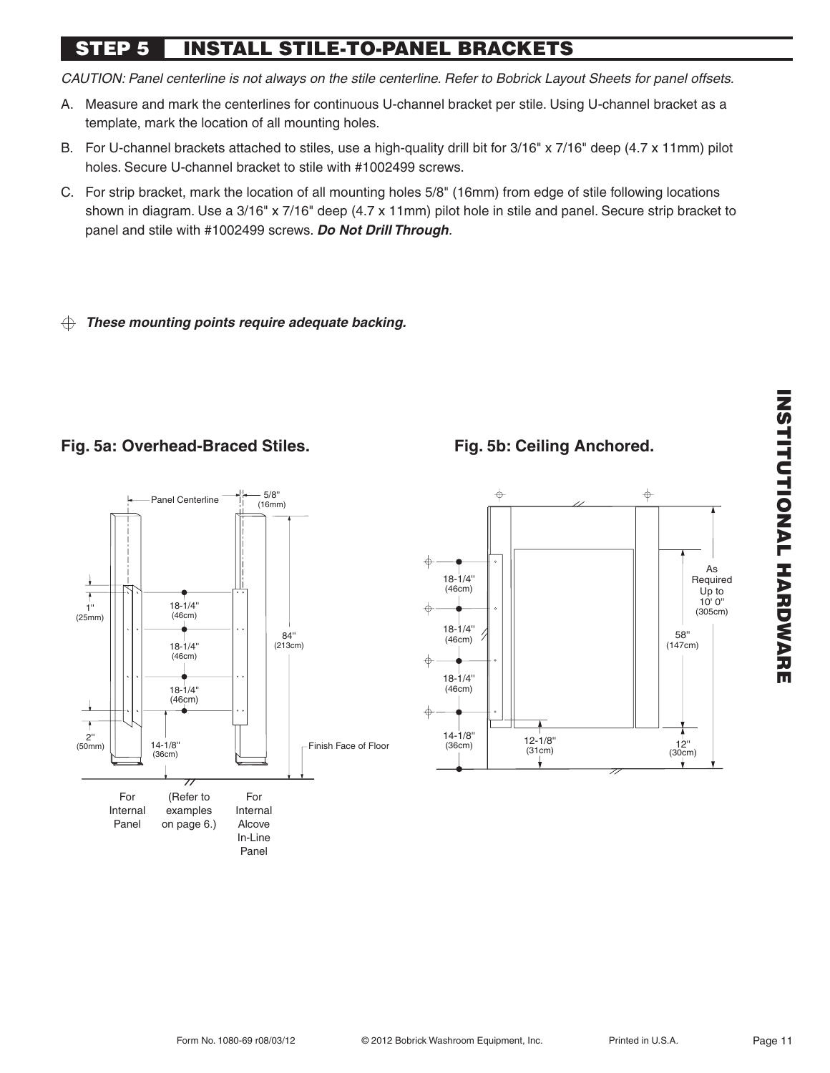# **STEP 5 INSTALL STILE-TO-PANEL BRACKETS**

CAUTION: Panel centerline is not always on the stile centerline. Refer to Bobrick Layout Sheets for panel offsets.

- A. Measure and mark the centerlines for continuous U-channel bracket per stile. Using U-channel bracket as a template, mark the location of all mounting holes.
- B. For U-channel brackets attached to stiles, use a high-quality drill bit for 3/16" x 7/16" deep (4.7 x 11mm) pilot holes. Secure U-channel bracket to stile with #1002499 screws.
- C. For strip bracket, mark the location of all mounting holes 5/8" (16mm) from edge of stile following locations shown in diagram. Use a 3/16" x 7/16" deep (4.7 x 11mm) pilot hole in stile and panel. Secure strip bracket to panel and stile with #1002499 screws. *Do Not Drill Through*.

#### *These mounting points require adequate backing.*  $\oplus$

# **Fig. 5a: Overhead-Braced Stiles.**



# **Fig. 5b: Ceiling Anchored.**



# **INSTRUMENT IN ARREST INSTITUTIONAL HARDWARE**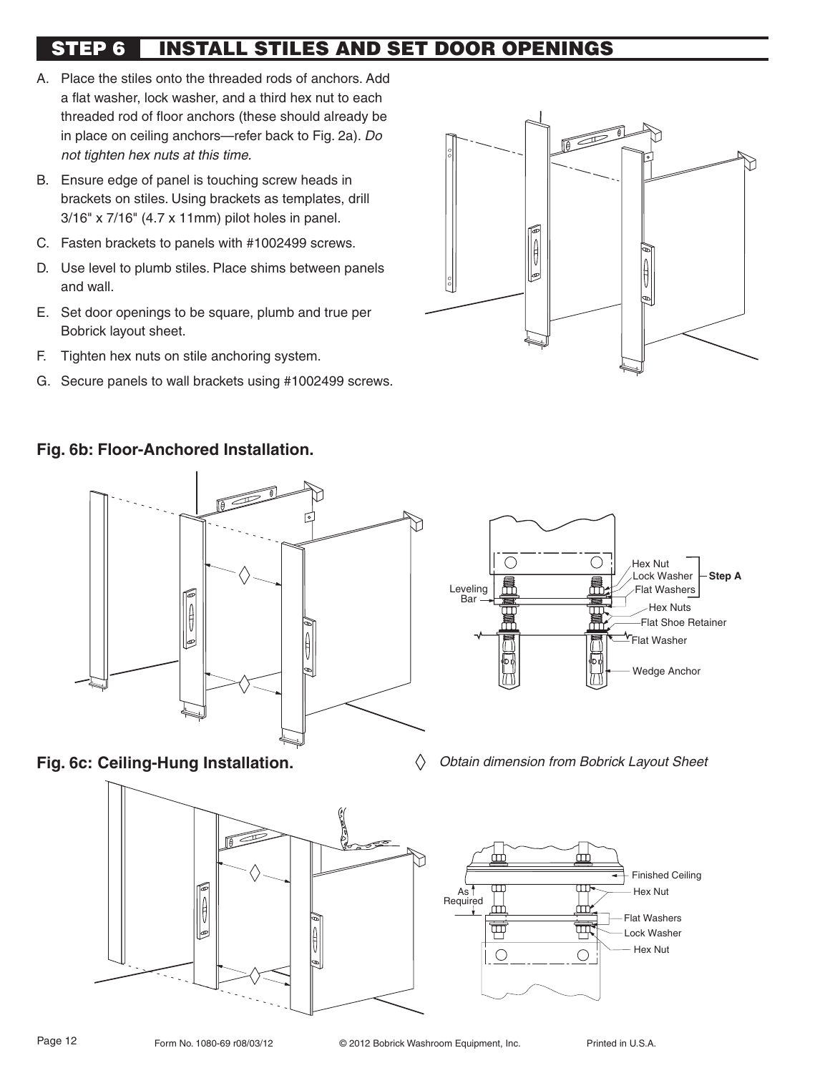# **STEP 6 INSTALL STILES AND SET DOOR OPENINGS**

- A. Place the stiles onto the threaded rods of anchors. Add a flat washer, lock washer, and a third hex nut to each threaded rod of floor anchors (these should already be in place on ceiling anchors—refer back to Fig. 2a). Do not tighten hex nuts at this time.
- B. Ensure edge of panel is touching screw heads in brackets on stiles. Using brackets as templates, drill 3/16" x 7/16" (4.7 x 11mm) pilot holes in panel.
- C. Fasten brackets to panels with #1002499 screws.
- D. Use level to plumb stiles. Place shims between panels and wall.
- E. Set door openings to be square, plumb and true per Bobrick layout sheet.
- F. Tighten hex nuts on stile anchoring system.
- G. Secure panels to wall brackets using #1002499 screws.



#### **Fig. 6b: Floor-Anchored Installation.**



**Fig. 6c: Ceiling-Hung Installation.** 



Obtain dimension from Bobrick Layout Sheet

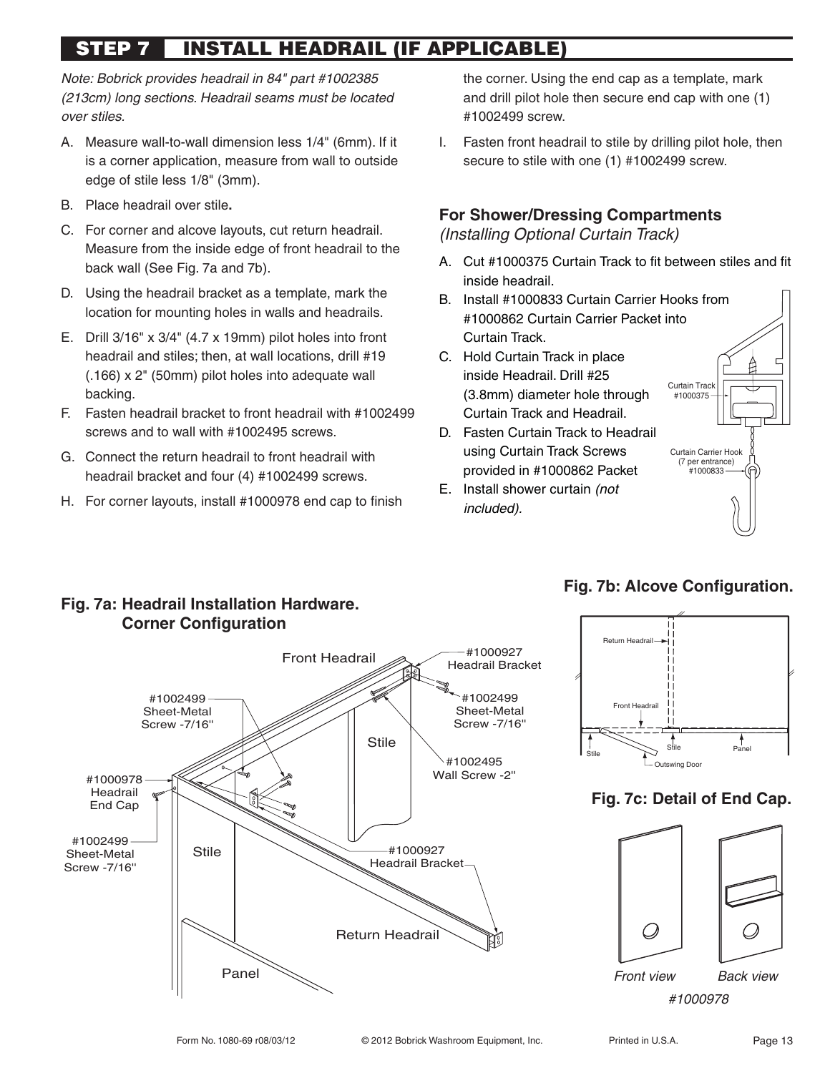# **STEP 7 INSTALL HEADRAIL (IF APPLICABLE)**

Note: Bobrick provides headrail in 84" part #1002385 (213cm) long sections. Headrail seams must be located over stiles.

- A. Measure wall-to-wall dimension less 1/4" (6mm). If it is a corner application, measure from wall to outside edge of stile less 1/8" (3mm).
- B. Place headrail over stile**.**
- C. For corner and alcove layouts, cut return headrail. Measure from the inside edge of front headrail to the back wall (See Fig. 7a and 7b).
- D. Using the headrail bracket as a template, mark the location for mounting holes in walls and headrails.
- E. Drill 3/16" x 3/4" (4.7 x 19mm) pilot holes into front headrail and stiles; then, at wall locations, drill #19 (.166) x 2" (50mm) pilot holes into adequate wall backing.
- F. Fasten headrail bracket to front headrail with #1002499 screws and to wall with #1002495 screws.
- G. Connect the return headrail to front headrail with headrail bracket and four (4) #1002499 screws.
- H. For corner layouts, install #1000978 end cap to finish

the corner. Using the end cap as a template, mark and drill pilot hole then secure end cap with one (1) #1002499 screw.

I. Fasten front headrail to stile by drilling pilot hole, then secure to stile with one (1) #1002499 screw.

# **For Shower/Dressing Compartments**

(Installing Optional Curtain Track)

- A. Cut #1000375 Curtain Track to fit between stiles and fit inside headrail.
- B. Install #1000833 Curtain Carrier Hooks from #1000862 Curtain Carrier Packet into Curtain Track.
- C. Hold Curtain Track in place inside Headrail. Drill #25 (3.8mm) diameter hole through Curtain Track and Headrail.
- D. Fasten Curtain Track to Headrail using Curtain Track Screws provided in #1000862 Packet
- E. Install shower curtain (not included).



# **Fig. 7a: Headrail Installation Hardware. Corner Configuration**



# **Fig. 7b: Alcove Configuration.**



# **Fig. 7c: Detail of End Cap.**



#1000978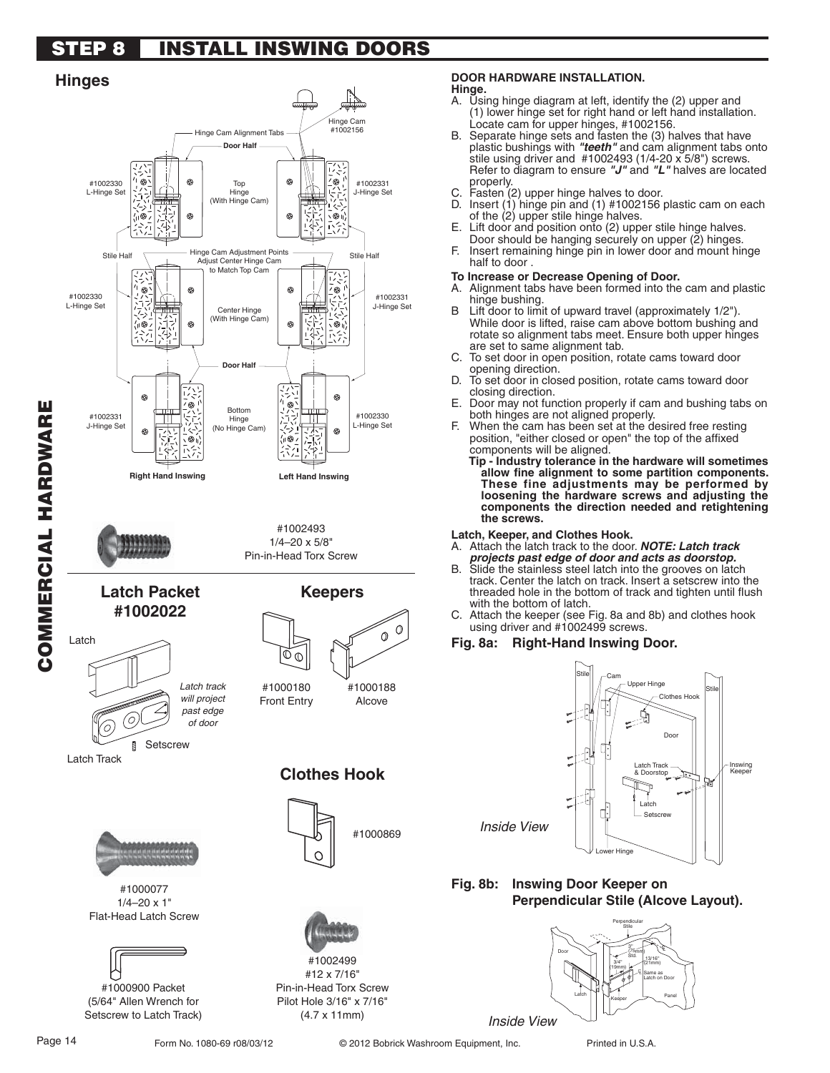# **STEP 8 INSTALL INSWING DOORS**





#### **DOOR HARDWARE INSTALLATION.**

#### **Hinge.**

- A. Using hinge diagram at left, identify the (2) upper and (1) lower hinge set for right hand or left hand installation. Locate cam for upper hinges, #1002156.
- B. Separate hinge sets and fasten the (3) halves that have plastic bushings with *"teeth"* and cam alignment tabs onto stile using driver and #1002493 (1/4-20 x 5/8") screws. Refer to diagram to ensure *"J"* and *"L"* halves are located properly.
- C. Fasten (2) upper hinge halves to door.
- D. Insert (1) hinge pin and (1) #1002156 plastic cam on each of the (2) upper stile hinge halves.
- E. Lift door and position onto (2) upper stile hinge halves. Door should be hanging securely on upper (2) hinges.
- F. Insert remaining hinge pin in lower door and mount hinge half to door .

#### **To Increase or Decrease Opening of Door.**

- A. Alignment tabs have been formed into the cam and plastic hinge bushing.
- Lift door to limit of upward travel (approximately  $1/2$ "). While door is lifted, raise cam above bottom bushing and rotate so alignment tabs meet. Ensure both upper hinges are set to same alignment tab.
- C. To set door in open position, rotate cams toward door opening direction.
- D. To set door in closed position, rotate cams toward door closing direction.
- E. Door may not function properly if cam and bushing tabs on both hinges are not aligned properly.
- F. When the cam has been set at the desired free resting position, "either closed or open" the top of the affixed components will be aligned.

**Tip - Industry tolerance in the hardware will sometimes**  allow fine alignment to some partition components. **These fine adjustments may be performed by loosening the hardware screws and adjusting the components the direction needed and retightening the screws.**

**Latch, Keeper, and Clothes Hook.**

- A. Attach the latch track to the door. *NOTE: Latch track projects past edge of door and acts as doorstop.*
- B. Slide the stainless steel latch into the grooves on latch track. Center the latch on track. Insert a setscrew into the threaded hole in the bottom of track and tighten until flush with the bottom of latch.
- C. Attach the keeper (see Fig. 8a and 8b) and clothes hook using driver and #1002499 screws.

#### **Fig. 8a: Right-Hand Inswing Door.**

Inside View



#### **Fig. 8b: Inswing Door Keeper on Perpendicular Stile (Alcove Layout).**

Latch Door Perpendicular Stile Panel 3'' (75mm) Std. 3/4'' (19mm) 13/16'' (21mm)  $\mathbb{E}$  Same as Latch on Door Ç Keeper Inside View

(5/64" Allen Wrench for Setscrew to Latch Track)

(4.7 x 11mm)

Form No. 1080-69 r08/03/12 <sup>©</sup> 2012 Bobrick Washroom Equipment, Inc. Printed in U.S.A.

**COMMERCIAL HARDWARE**

COMMERCIAL HARDWARE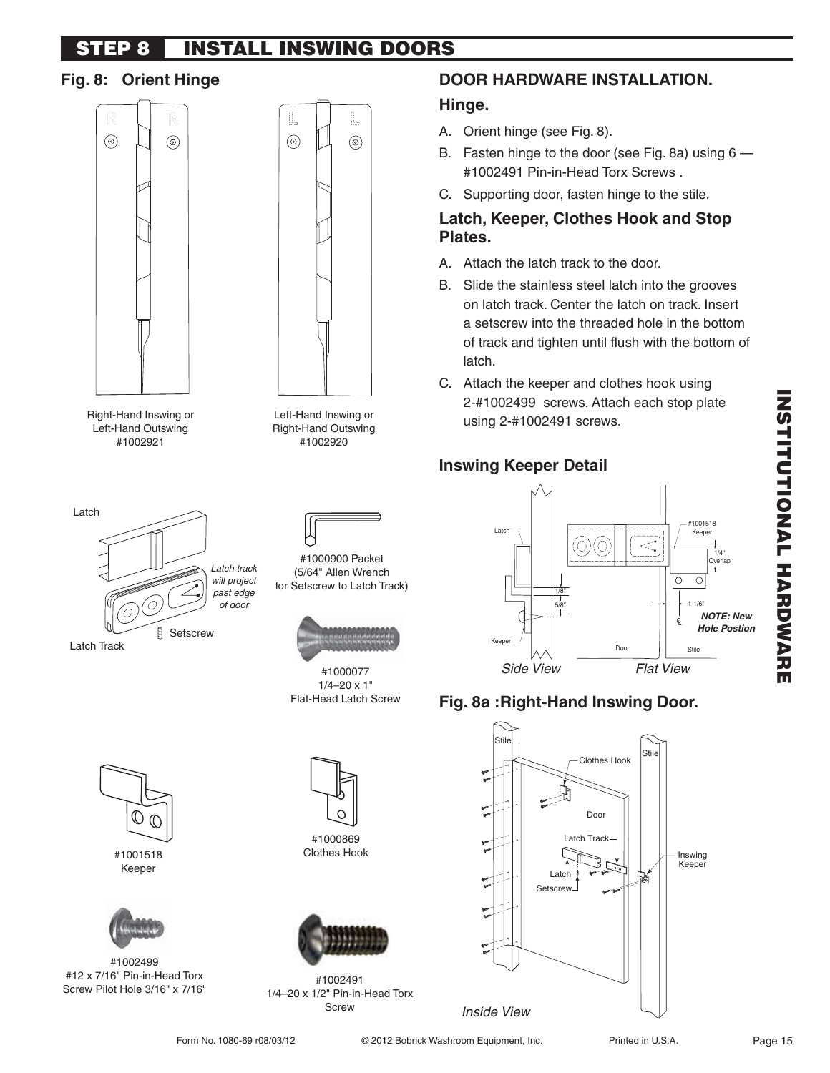#### **STEP 8 INSTALL INSWING DOORS**

# **Fig. 8: Orient Hinge**





Right-Hand Inswing or #1002921

Left-Hand Inswing or Right-Hand Outswing #1002920





#1000900 Packet (5/64" Allen Wrench for Setscrew to Latch Track)



#1000077  $1/4 - 20 \times 1$ " Flat-Head Latch Screw





#1001518 Keeper

</del> Œ

#1002499 #12 x 7/16" Pin-in-Head Torx Screw Pilot Hole 3/16" x 7/16"



#1000869 Clothes Hook



#1002491 1/4–20 x 1/2" Pin-in-Head Torx Screw

# **DOOR HARDWARE INSTALLATION.**

# **Hinge.**

- A. Orient hinge (see Fig. 8).
- B. Fasten hinge to the door (see Fig. 8a) using 6 #1002491 Pin-in-Head Torx Screws .
- C. Supporting door, fasten hinge to the stile.

## **Latch, Keeper, Clothes Hook and Stop Plates.**

- A. Attach the latch track to the door.
- B. Slide the stainless steel latch into the grooves on latch track. Center the latch on track. Insert a setscrew into the threaded hole in the bottom of track and tighten until flush with the bottom of latch.
- C. Attach the keeper and clothes hook using 2-#1002499 screws. Attach each stop plate using 2-#1002491 screws.

# **Inswing Keeper Detail**



# **Fig. 8a : Right-Hand Inswing Door.**

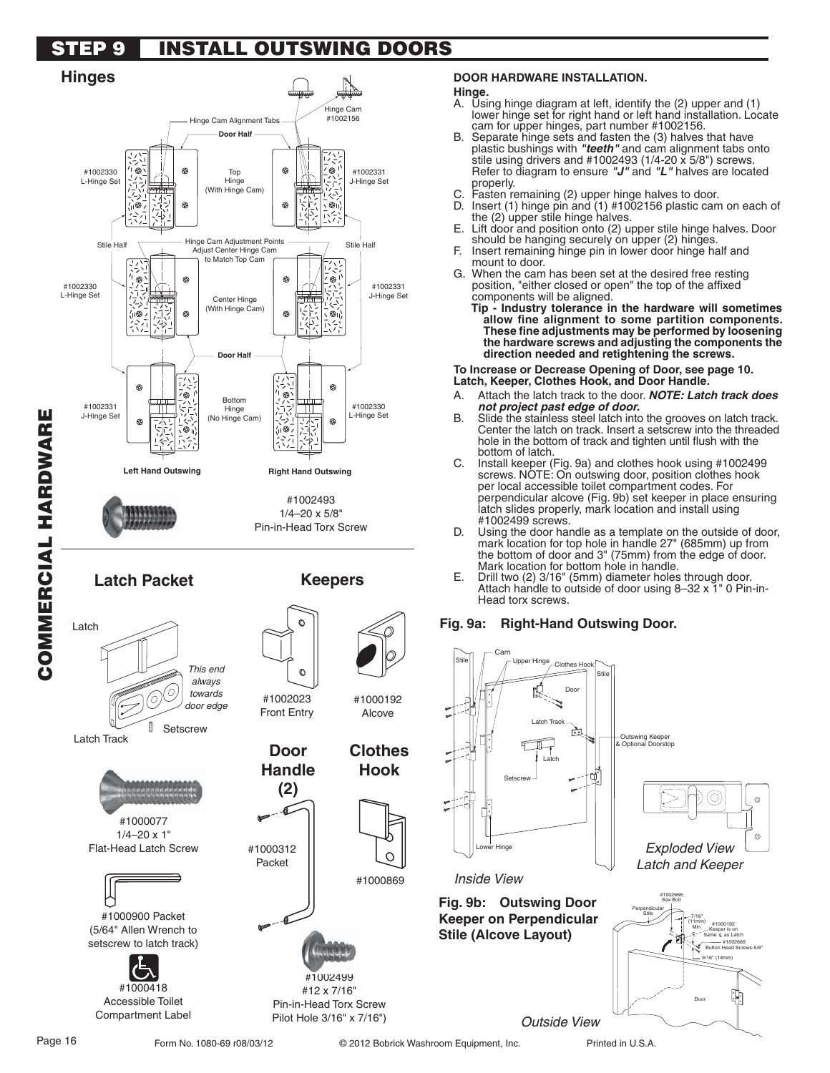# **STEP 9 INSTALL OUTSWING DOORS**

#### **Hinges** .<br>#1002156 Hinge Cam Alignment Tabs **Door Half** #1002330 Top #1002331 Hinge L-Hinge Set J-Hinge Set (With Hinge Cam)  $\circ$ Hinge Cam Adjustment Points Stile Half Thinge Cam Adjustment Forms<br>Adjust Center Hinge Cam Adjust Center Hinge Cam to Match Top Cam #1002330 #1002331 L-Hinge Set J-Hinge Set Center Hinge (With Hinge Cam) **Door Half** ⊛ 'ඹ ⊛ Bottom #1002331 #1002330 Hinge COMMERCIAL HARDWARE **COMMERCIAL HARDWARE** J-Hinge Set (No Hinge Cam) L-Hinge Set ഁ൫ **Left Hand Outswing Right Hand Outswing** #1002493 1/4–20 x 5/8" Pin-in-Head Torx Screw **Latch Packet Keepers** Latch This end always 0 towards #1002023 door edge Front Entry **Setscrew**

Latch Track







#1000900 Packet (5/64" Allen Wrench to setscrew to latch track)



Accessible Toilet Compartment Label

#### **DOOR HARDWARE INSTALLATION.**

# **Hinge.**

- A. Using hinge diagram at left, identify the (2) upper and (1) lower hinge set for right hand or left hand installation. Locate cam for upper hinges, part number #1002156.
- B. Separate hinge sets and fasten the (3) halves that have plastic bushings with *"teeth"* and cam alignment tabs onto stile using drivers and #1002493 (1/4-20 x 5/8") screws. Refer to diagram to ensure *"J"* and *"L"* halves are located properly.
- C. Fasten remaining (2) upper hinge halves to door.
- D. Insert (1) hinge pin and (1) #1002156 plastic cam on each of the (2) upper stile hinge halves.
- E. Lift door and position onto (2) upper stile hinge halves. Door should be hanging securely on upper (2) hinges.
- F. Insert remaining hinge pin in lower door hinge half and mount to door.
- G. When the cam has been set at the desired free resting position, "either closed or open" the top of the affixed components will be aligned.

**Tip - Industry tolerance in the hardware will sometimes**  allow fine alignment to some partition components. These fine adjustments may be performed by loosening **the hardware screws and adjusting the components the direction needed and retightening the screws.**

To Increase or Decrease Opening of Door, see page 10. **Latch, Keeper, Clothes Hook, and Door Handle.**

- A. Attach the latch track to the door. *NOTE: Latch track does not project past edge of door.*
- B. Slide the stainless steel latch into the grooves on latch track. Center the latch on track. Insert a setscrew into the threaded hole in the bottom of track and tighten until flush with the bottom of latch.
- C. Install keeper (Fig. 9a) and clothes hook using #1002499 screws. NOTE: On outswing door, position clothes hook per local accessible toilet compartment codes. For perpendicular alcove (Fig. 9b) set keeper in place ensuring latch slides properly, mark location and install using #1002499 screws.
- D. Using the door handle as a template on the outside of door, mark location for top hole in handle 27" (685mm) up from the bottom of door and 3" (75mm) from the edge of door. Mark location for bottom hole in handle.
- E. Drill two (2) 3/16" (5mm) diameter holes through door. Attach handle to outside of door using 8-32 x 1" 0 Pin-in-Head torx screws.

#### Fig. 9a: Right-Hand Outswing Door.



#1000312 Packet

**Door Handle (2)**

Form No. 1080-69 r08/03/12 <sup>©</sup> 2012 Bobrick Washroom Equipment, Inc. Printed in U.S.A.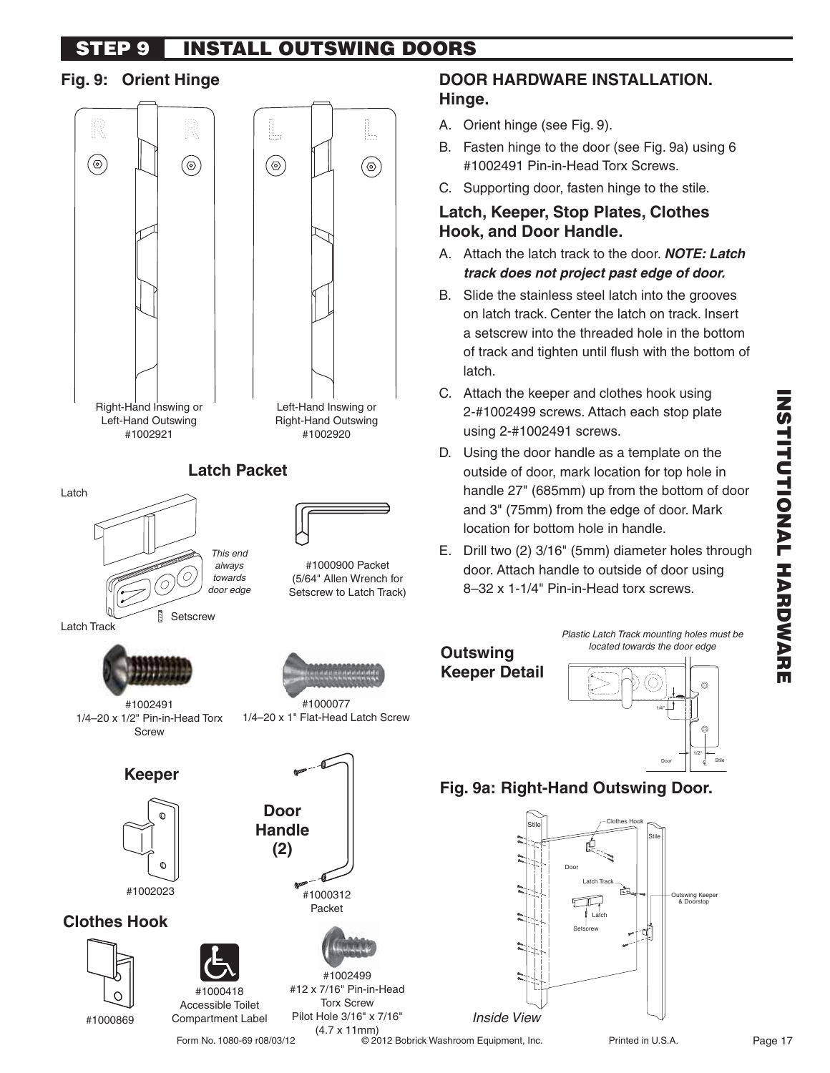#### **STEP 9 INSTALL OUTSWING DOORS**

## **Fig. 9: Orient Hinge**



(4.7 x 11mm)

## **DOOR HARDWARE INSTALLATION. Hinge.**

- A. Orient hinge (see Fig. 9).
- B. Fasten hinge to the door (see Fig. 9a) using 6 #1002491 Pin-in-Head Torx Screws.
- C. Supporting door, fasten hinge to the stile.

# **Latch, Keeper, Stop Plates, Clothes Hook, and Door Handle.**

- A. Attach the latch track to the door. *NOTE: Latch track does not project past edge of door.*
- B. Slide the stainless steel latch into the grooves on latch track. Center the latch on track. Insert a setscrew into the threaded hole in the bottom of track and tighten until flush with the bottom of latch.
- C. Attach the keeper and clothes hook using 2-#1002499 screws. Attach each stop plate using 2-#1002491 screws.
- D. Using the door handle as a template on the outside of door, mark location for top hole in handle 27" (685mm) up from the bottom of door and 3" (75mm) from the edge of door. Mark location for bottom hole in handle.
- E. Drill two (2) 3/16" (5mm) diameter holes through door. Attach handle to outside of door using 8-32 x 1-1/4" Pin-in-Head torx screws.

Plastic Latch Track mounting holes must be

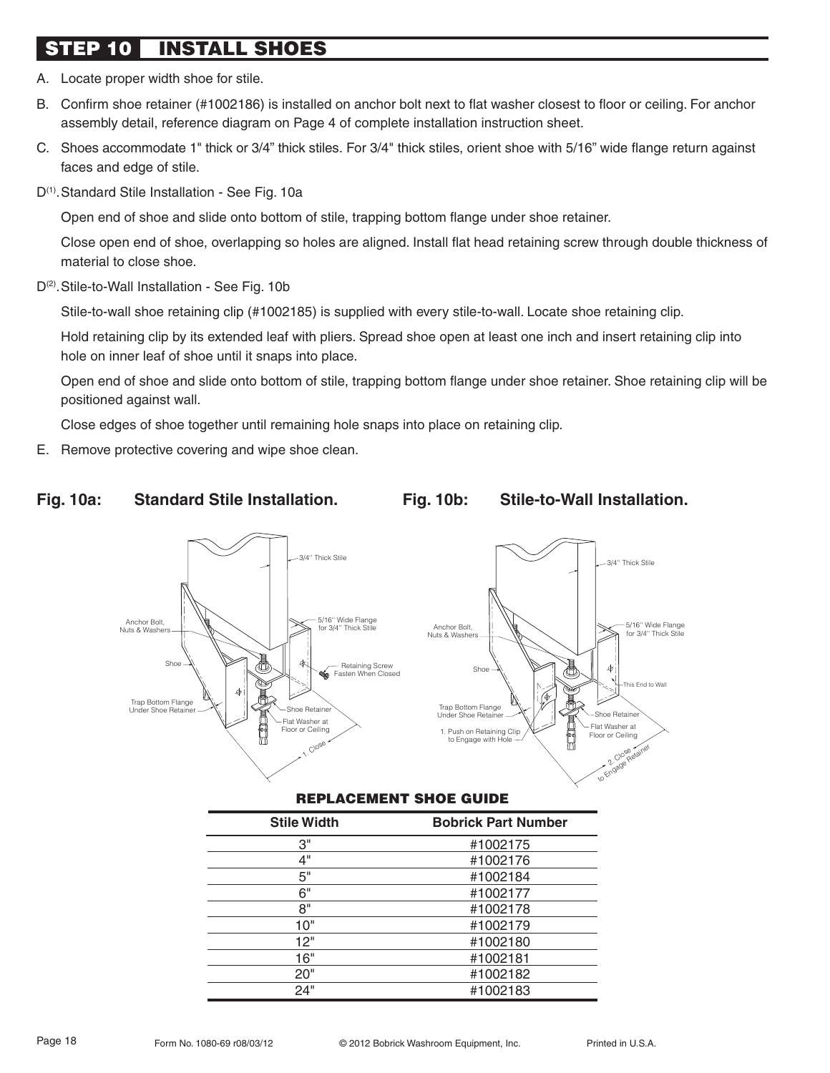# **STEP 10 INSTALL SHOES**

- A. Locate proper width shoe for stile.
- B. Confirm shoe retainer (#1002186) is installed on anchor bolt next to flat washer closest to floor or ceiling. For anchor assembly detail, reference diagram on Page 4 of complete installation instruction sheet.
- C. Shoes accommodate 1" thick or 3/4" thick stiles. For 3/4" thick stiles, orient shoe with 5/16" wide flange return against faces and edge of stile.
- D<sup>(1)</sup>. Standard Stile Installation See Fig. 10a

Open end of shoe and slide onto bottom of stile, trapping bottom flange under shoe retainer.

 Close open end of shoe, overlapping so holes are aligned. Install flat head retaining screw through double thickness of material to close shoe.

D<sup>(2)</sup>. Stile-to-Wall Installation - See Fig. 10b

Stile-to-wall shoe retaining clip (#1002185) is supplied with every stile-to-wall. Locate shoe retaining clip.

 Hold retaining clip by its extended leaf with pliers. Spread shoe open at least one inch and insert retaining clip into hole on inner leaf of shoe until it snaps into place.

 Open end of shoe and slide onto bottom of stile, trapping bottom flange under shoe retainer. Shoe retaining clip will be positioned against wall.

Close edges of shoe together until remaining hole snaps into place on retaining clip.

E. Remove protective covering and wipe shoe clean.

#### Fig. 10a: Standard Stile Installation. Fig. 10b: Stile-to-Wall Installation.



#### **REPLACEMENT SHOE GUIDE**

| <b>Stile Width</b> | <b>Bobrick Part Number</b> |
|--------------------|----------------------------|
| З"                 | #1002175                   |
| 4"                 | #1002176                   |
| 5"                 | #1002184                   |
| 6"                 | #1002177                   |
| 8"                 | #1002178                   |
| 10"                | #1002179                   |
| 12"                | #1002180                   |
| 16"                | #1002181                   |
| 20"                | #1002182                   |
| 24"                | #1002183                   |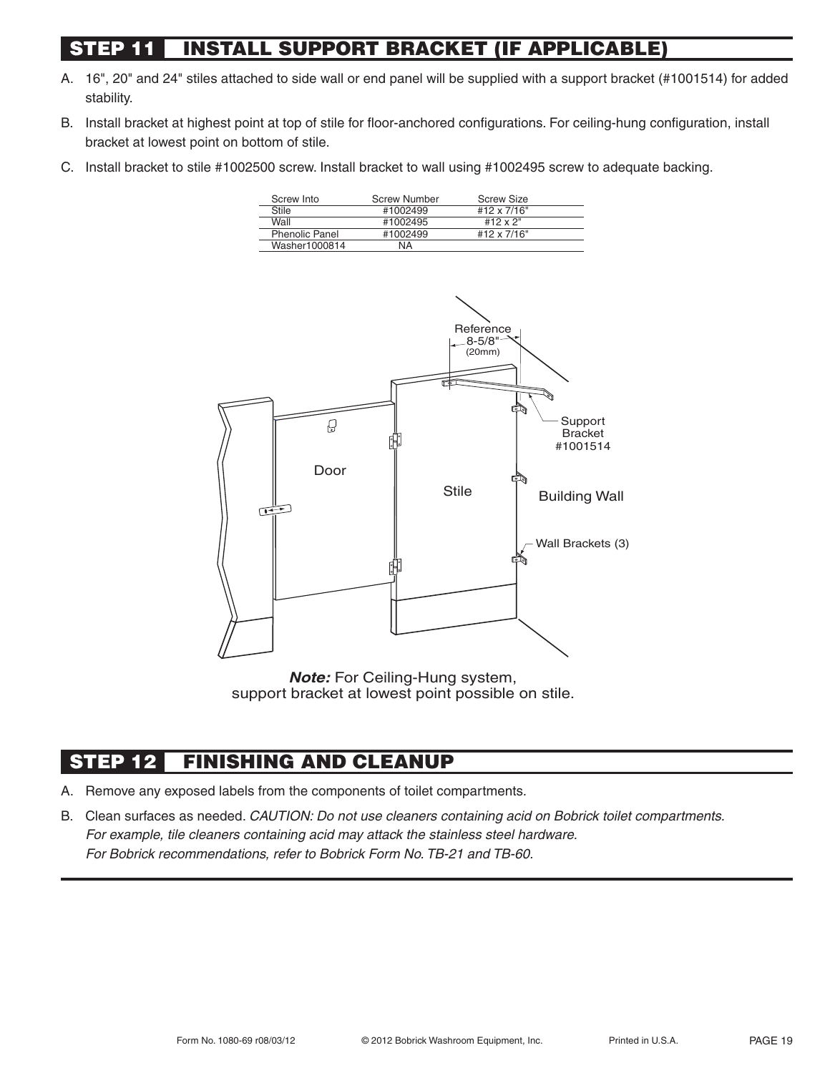# **INSTALL SUPPORT BRACKET (IF APPLICABLE)**

- A. 16", 20" and 24" stiles attached to side wall or end panel will be supplied with a support bracket (#1001514) for added stability.
- B. Install bracket at highest point at top of stile for floor-anchored configurations. For ceiling-hung configuration, install bracket at lowest point on bottom of stile.
- C. Install bracket to stile #1002500 screw. Install bracket to wall using #1002495 screw to adequate backing.

| Screw Into            | <b>Screw Number</b> | <b>Screw Size</b> |  |
|-----------------------|---------------------|-------------------|--|
| Stile                 | #1002499            | #12 x 7/16"       |  |
| Wall                  | #1002495            | #12 x 2"          |  |
| <b>Phenolic Panel</b> | #1002499            | #12 x 7/16"       |  |
| Washer1000814         | ΝA                  |                   |  |



*Note:* For Ceiling-Hung system, support bracket at lowest point possible on stile.

# **STEP 12 FINISHING AND CLEANUP**

- A. Remove any exposed labels from the components of toilet compartments.
- B. Clean surfaces as needed. CAUTION: Do not use cleaners containing acid on Bobrick toilet compartments. For example, tile cleaners containing acid may attack the stainless steel hardware. For Bobrick recommendations, refer to Bobrick Form No. TB-21 and TB-60.